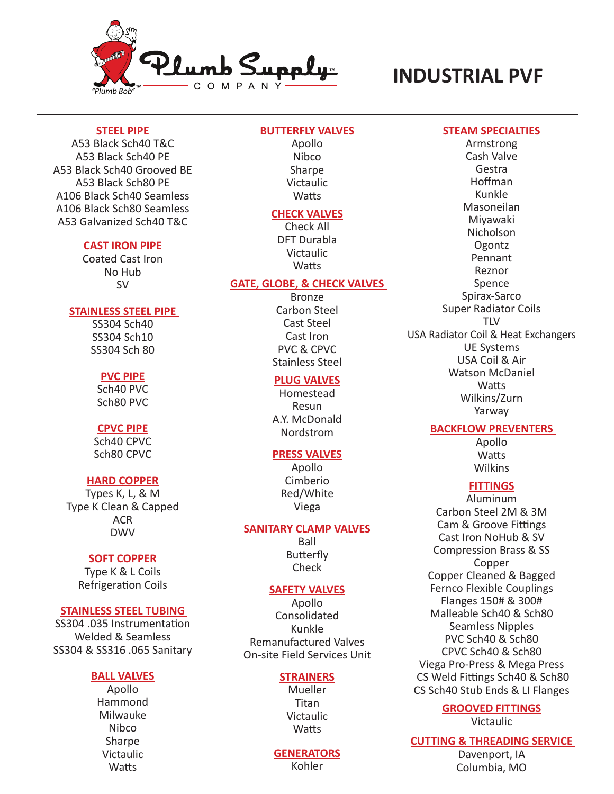

# **INDUSTRIAL PVF**

### **STEEL PIPE**

A53 Black Sch40 T&C A53 Black Sch40 PE A53 Black Sch40 Grooved BE A53 Black Sch80 PE A106 Black Sch40 Seamless A106 Black Sch80 Seamless A53 Galvanized Sch40 T&C

### **CAST IRON PIPE**

Coated Cast Iron No Hub SV

### **STAINLESS STEEL PIPE**

SS304 Sch40 SS304 Sch10 SS304 Sch 80

### **PVC PIPE**

Sch40 PVC Sch80 PVC

### **CPVC PIPE**

Sch40 CPVC Sch80 CPVC

# **HARD COPPER**

Types K, L, & M Type K Clean & Capped ACR DWV

#### **SOFT COPPER**

Type K & L Coils Refrigeration Coils

### **STAINLESS STEEL TUBING**

SS304 .035 Instrumentation Welded & Seamless SS304 & SS316 .065 Sanitary

### **BALL VALVES**

Apollo Hammond Milwauke Nibco **Sharpe** Victaulic **Watts** 

### **BUTTERFLY VALVES**

Apollo Nibco Sharpe Victaulic **Watts** 

# **CHECK VALVES**

Check All DFT Durabla Victaulic **Watts** 

# **GATE, GLOBE, & CHECK VALVES**

Bronze Carbon Steel Cast Steel Cast Iron PVC & CPVC Stainless Steel

# **PLUG VALVES**

Homestead Resun A.Y. McDonald Nordstrom

### **PRESS VALVES**

Apollo Cimberio Red/White Viega

#### **SANITARY CLAMP VALVES**

Ball Butterfly Check

### **SAFETY VALVES**

Apollo Consolidated Kunkle Remanufactured Valves On-site Field Services Unit

#### **STRAINERS**

**Mueller** Titan Victaulic **Watts** 

#### **GENERATORS**

Kohler

#### **STEAM SPECIALTIES**

Armstrong Cash Valve Gestra Hoffman Kunkle Masoneilan Miyawaki Nicholson **Ogontz** Pennant Reznor Spence Spirax-Sarco Super Radiator Coils TLV USA Radiator Coil & Heat Exchangers UE Systems USA Coil & Air Watson McDaniel **Watts** Wilkins/Zurn Yarway

# **BACKFLOW PREVENTERS**

Apollo **Watts** Wilkins

# **FITTINGS**

Aluminum Carbon Steel 2M & 3M Cam & Groove Fittings Cast Iron NoHub & SV Compression Brass & SS Copper Copper Cleaned & Bagged Fernco Flexible Couplings Flanges 150# & 300# Malleable Sch40 & Sch80 Seamless Nipples PVC Sch40 & Sch80 CPVC Sch40 & Sch80 Viega Pro-Press & Mega Press CS Weld Fittings Sch40 & Sch80 CS Sch40 Stub Ends & LI Flanges

# **GROOVED FITTINGS**

Victaulic

# **CUTTING & THREADING SERVICE**

Davenport, IA Columbia, MO